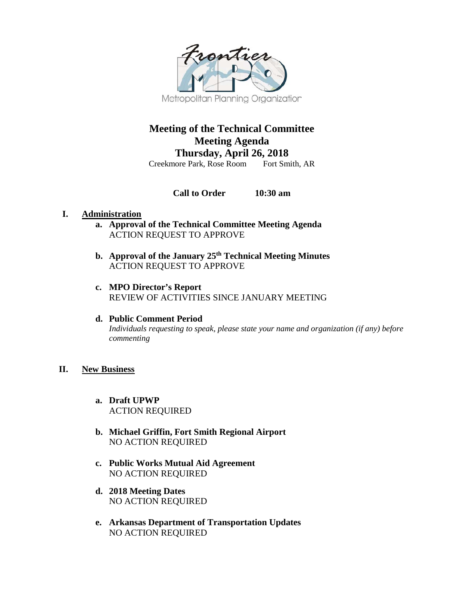

# **Meeting of the Technical Committee Meeting Agenda Thursday, April 26, 2018**

Creekmore Park, Rose Room

**Call to Order 10:30 am**

# **I. Administration**

- **a. Approval of the Technical Committee Meeting Agenda** ACTION REQUEST TO APPROVE
- **b. Approval of the January 25th Technical Meeting Minutes**  ACTION REQUEST TO APPROVE
- **c. MPO Director's Report**  REVIEW OF ACTIVITIES SINCE JANUARY MEETING
- **d. Public Comment Period** *Individuals requesting to speak, please state your name and organization (if any) before commenting*

## **II. New Business**

- **a. Draft UPWP** ACTION REQUIRED
- **b. Michael Griffin, Fort Smith Regional Airport** NO ACTION REQUIRED
- **c. Public Works Mutual Aid Agreement** NO ACTION REQUIRED
- **d. 2018 Meeting Dates** NO ACTION REQUIRED
- **e. Arkansas Department of Transportation Updates** NO ACTION REQUIRED